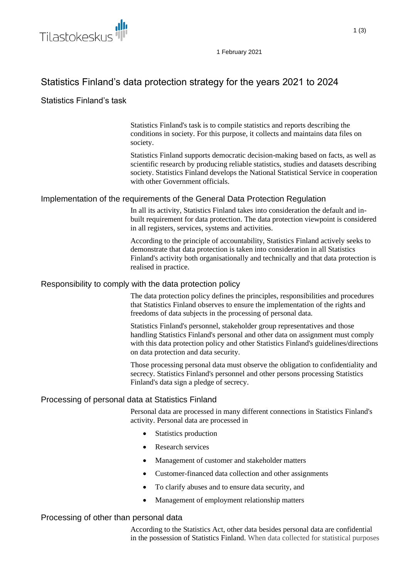

1 February 2021

# Statistics Finland's data protection strategy for the years 2021 to 2024

# Statistics Finland's task

Statistics Finland's task is to compile statistics and reports describing the conditions in society. For this purpose, it collects and maintains data files on society.

Statistics Finland supports democratic decision-making based on facts, as well as scientific research by producing reliable statistics, studies and datasets describing society. Statistics Finland develops the National Statistical Service in cooperation with other Government officials.

## Implementation of the requirements of the General Data Protection Regulation

In all its activity, Statistics Finland takes into consideration the default and inbuilt requirement for data protection. The data protection viewpoint is considered in all registers, services, systems and activities.

According to the principle of accountability, Statistics Finland actively seeks to demonstrate that data protection is taken into consideration in all Statistics Finland's activity both organisationally and technically and that data protection is realised in practice.

#### Responsibility to comply with the data protection policy

The data protection policy defines the principles, responsibilities and procedures that Statistics Finland observes to ensure the implementation of the rights and freedoms of data subjects in the processing of personal data.

Statistics Finland's personnel, stakeholder group representatives and those handling Statistics Finland's personal and other data on assignment must comply with this data protection policy and other Statistics Finland's guidelines/directions on data protection and data security.

Those processing personal data must observe the obligation to confidentiality and secrecy. Statistics Finland's personnel and other persons processing Statistics Finland's data sign a pledge of secrecy.

## Processing of personal data at Statistics Finland

Personal data are processed in many different connections in Statistics Finland's activity. Personal data are processed in

- Statistics production
- Research services
- Management of customer and stakeholder matters
- Customer-financed data collection and other assignments
- To clarify abuses and to ensure data security, and
- Management of employment relationship matters

#### Processing of other than personal data

According to the Statistics Act, other data besides personal data are confidential in the possession of Statistics Finland. When data collected for statistical purposes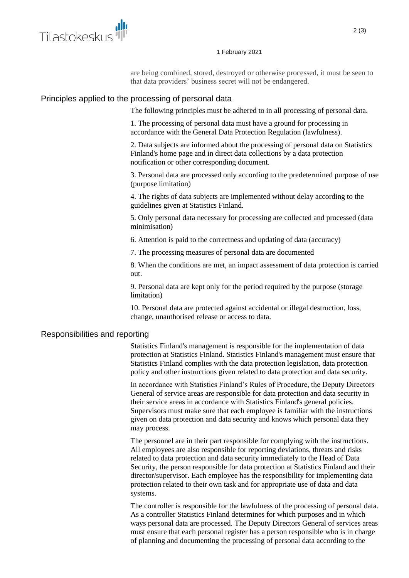

#### 1 February 2021

are being combined, stored, destroyed or otherwise processed, it must be seen to that data providers' business secret will not be endangered.

## Principles applied to the processing of personal data

The following principles must be adhered to in all processing of personal data.

1. The processing of personal data must have a ground for processing in accordance with the General Data Protection Regulation (lawfulness).

2. Data subjects are informed about the processing of personal data on Statistics Finland's home page and in direct data collections by a data protection notification or other corresponding document.

3. Personal data are processed only according to the predetermined purpose of use (purpose limitation)

4. The rights of data subjects are implemented without delay according to the guidelines given at Statistics Finland.

5. Only personal data necessary for processing are collected and processed (data minimisation)

6. Attention is paid to the correctness and updating of data (accuracy)

7. The processing measures of personal data are documented

8. When the conditions are met, an impact assessment of data protection is carried out.

9. Personal data are kept only for the period required by the purpose (storage limitation)

10. Personal data are protected against accidental or illegal destruction, loss, change, unauthorised release or access to data.

#### Responsibilities and reporting

Statistics Finland's management is responsible for the implementation of data protection at Statistics Finland. Statistics Finland's management must ensure that Statistics Finland complies with the data protection legislation, data protection policy and other instructions given related to data protection and data security.

In accordance with Statistics Finland's Rules of Procedure, the Deputy Directors General of service areas are responsible for data protection and data security in their service areas in accordance with Statistics Finland's general policies. Supervisors must make sure that each employee is familiar with the instructions given on data protection and data security and knows which personal data they may process.

The personnel are in their part responsible for complying with the instructions. All employees are also responsible for reporting deviations, threats and risks related to data protection and data security immediately to the Head of Data Security, the person responsible for data protection at Statistics Finland and their director/supervisor. Each employee has the responsibility for implementing data protection related to their own task and for appropriate use of data and data systems.

The controller is responsible for the lawfulness of the processing of personal data. As a controller Statistics Finland determines for which purposes and in which ways personal data are processed. The Deputy Directors General of services areas must ensure that each personal register has a person responsible who is in charge of planning and documenting the processing of personal data according to the